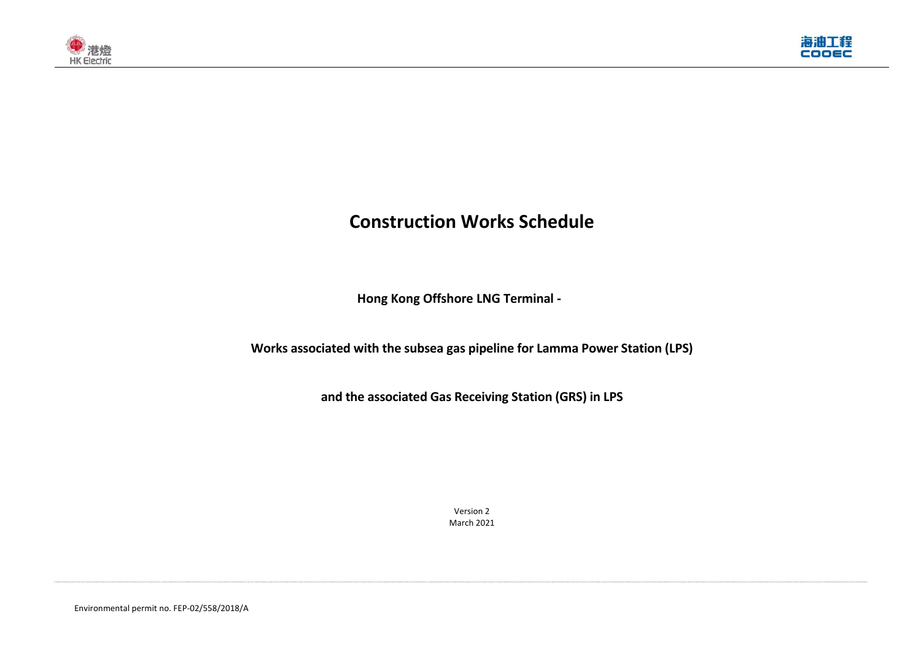Environmental permit no. FEP-02/558/2018/A





# **Construction Works Schedule**

**Hong Kong Offshore LNG Terminal -**

**Works associated with the subsea gas pipeline for Lamma Power Station (LPS)** 

**and the associated Gas Receiving Station (GRS) in LPS**

Version 2 March 2021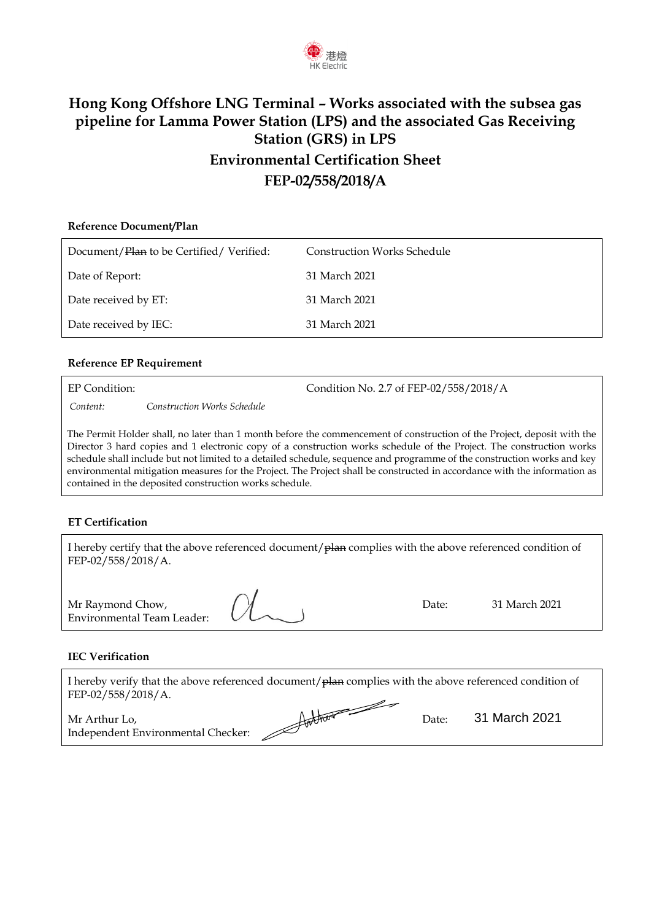

### **Hong Kong Offshore LNG Terminal – Works associated with the subsea gas pipeline for Lamma Power Station (LPS) and the associated Gas Receiving Station (GRS) in LPS Environmental Certification Sheet FEP-02/558/2018/A**

## **Reference Document/Plan** Document/Plan to be Certified/Verified: Construction Works Schedule Date of Report: 31 March 2021 Date received by ET: 31 March 2021 Date received by IEC: 31 March 2021

### **Reference EP Requirement**

EP Condition: Condition No. 2.7 of FEP-02/558/2018/A

*Content: Construction Works Schedule*

The Permit Holder shall, no later than 1 month before the commencement of construction of the Project, deposit with the Director 3 hard copies and 1 electronic copy of a construction works schedule of the Project. The construction works schedule shall include but not limited to a detailed schedule, sequence and programme of the construction works and key environmental mitigation measures for the Project. The Project shall be constructed in accordance with the information as contained in the deposited construction works schedule.

#### **ET Certification**

| I hereby certify that the above referenced document/plan complies with the above referenced condition of<br>FEP-02/558/2018/A. |       |               |
|--------------------------------------------------------------------------------------------------------------------------------|-------|---------------|
| Mr Raymond Chow,<br>Environmental Team Leader:                                                                                 | Date: | 31 March 2021 |

### **IEC Verification**

Environmental Team Leader:

I hereby verify that the above referenced document/ $p$ lan complies with the above referenced condition of FEP-02/558/2018/A. <u>D</u>

| Mr Arthur Lo,                      | $H$ and there are not the set of $H$ | Date: | 31 March 2021 |
|------------------------------------|--------------------------------------|-------|---------------|
| Independent Environmental Checker: |                                      |       |               |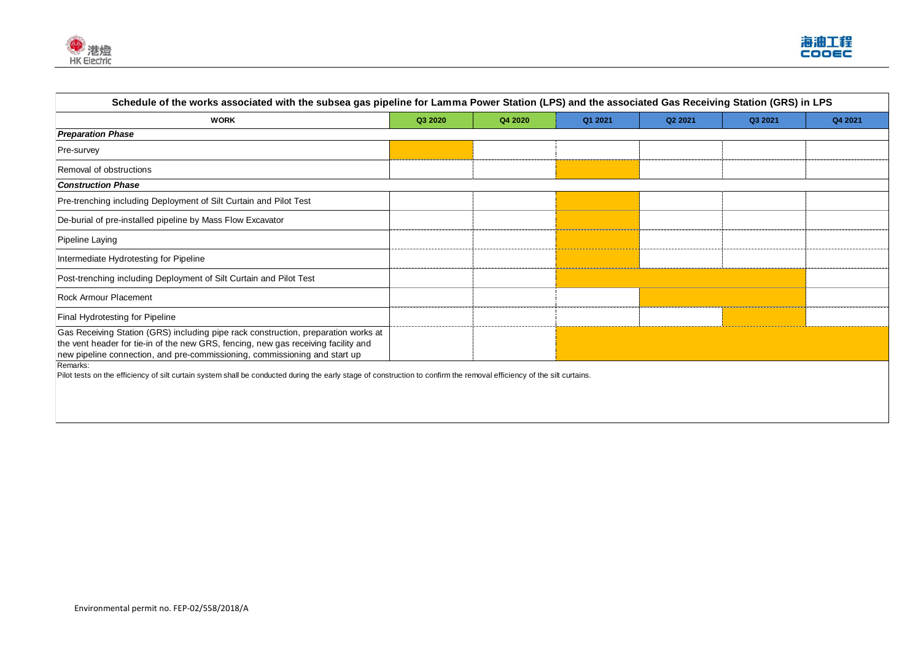



| Schedule of the works associated with the subsea gas pipeline for Lamma Power Station (LPS) and the associated Gas Receiving Station (GRS) in LPS                                                                                                      |         |         |         |         |         |         |
|--------------------------------------------------------------------------------------------------------------------------------------------------------------------------------------------------------------------------------------------------------|---------|---------|---------|---------|---------|---------|
| <b>WORK</b>                                                                                                                                                                                                                                            | Q3 2020 | Q4 2020 | Q1 2021 | Q2 2021 | Q3 2021 | Q4 2021 |
| <b>Preparation Phase</b>                                                                                                                                                                                                                               |         |         |         |         |         |         |
| <b>Pre-survey</b>                                                                                                                                                                                                                                      |         |         |         |         |         |         |
| Removal of obstructions                                                                                                                                                                                                                                |         |         |         |         |         |         |
| <b>Construction Phase</b>                                                                                                                                                                                                                              |         |         |         |         |         |         |
| Pre-trenching including Deployment of Silt Curtain and Pilot Test                                                                                                                                                                                      |         |         |         |         |         |         |
| De-burial of pre-installed pipeline by Mass Flow Excavator                                                                                                                                                                                             |         |         |         |         |         |         |
| Pipeline Laying                                                                                                                                                                                                                                        |         |         |         |         |         |         |
| Intermediate Hydrotesting for Pipeline                                                                                                                                                                                                                 |         |         |         |         |         |         |
| Post-trenching including Deployment of Silt Curtain and Pilot Test                                                                                                                                                                                     |         |         |         |         |         |         |
| <b>Rock Armour Placement</b>                                                                                                                                                                                                                           |         |         |         |         |         |         |
| <b>Final Hydrotesting for Pipeline</b>                                                                                                                                                                                                                 |         |         |         |         |         |         |
| Gas Receiving Station (GRS) including pipe rack construction, preparation works at<br>the vent header for tie-in of the new GRS, fencing, new gas receiving facility and<br>new pipeline connection, and pre-commissioning, commissioning and start up |         |         |         |         |         |         |
| Remarks:<br>Pilot tests on the efficiency of silt curtain system shall be conducted during the early stage of construction to confirm the removal efficiency of the silt curtains.                                                                     |         |         |         |         |         |         |